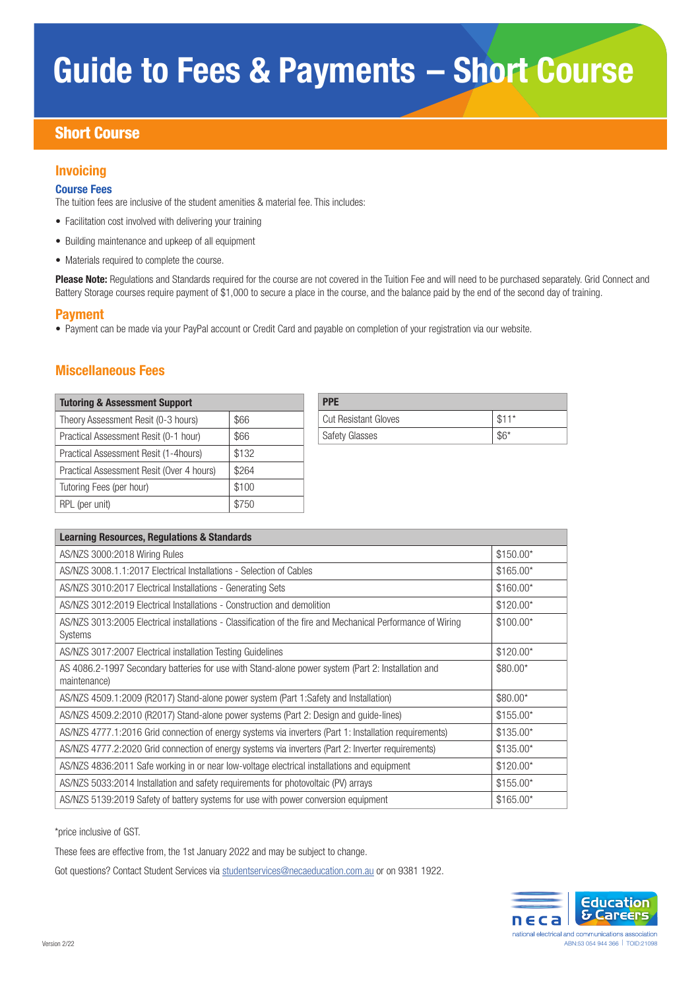# Guide to Fees & Payments – Short Course

# Short Course

# Invoicing

### Course Fees

The tuition fees are inclusive of the student amenities & material fee. This includes:

- Facilitation cost involved with delivering your training
- Building maintenance and upkeep of all equipment
- Materials required to complete the course.

Please Note: Regulations and Standards required for the course are not covered in the Tuition Fee and will need to be purchased separately. Grid Connect and Battery Storage courses require payment of \$1,000 to secure a place in the course, and the balance paid by the end of the second day of training.

### Payment

• Payment can be made via your PayPal account or Credit Card and payable on completion of your registration via our website.

# Miscellaneous Fees

| <b>Tutoring &amp; Assessment Support</b>  |       | <b>PPE</b>                  |
|-------------------------------------------|-------|-----------------------------|
| Theory Assessment Resit (0-3 hours)       | \$66  | <b>Cut Resistant Gloves</b> |
| Practical Assessment Resit (0-1 hour)     | \$66  | <b>Safety Glasses</b>       |
| Practical Assessment Resit (1-4 hours)    | \$132 |                             |
| Practical Assessment Resit (Over 4 hours) | \$264 |                             |
| Tutoring Fees (per hour)                  | \$100 |                             |
| RPL (per unit)                            | \$750 |                             |

| <b>PPE</b>                  |        |
|-----------------------------|--------|
| <b>Cut Resistant Gloves</b> | $$11*$ |
| <b>Safety Glasses</b>       | $$6^*$ |

| <b>Learning Resources, Regulations &amp; Standards</b>                                                                 |            |
|------------------------------------------------------------------------------------------------------------------------|------------|
| AS/NZS 3000:2018 Wiring Rules                                                                                          | $$150.00*$ |
| AS/NZS 3008.1.1:2017 Electrical Installations - Selection of Cables                                                    | $$165.00*$ |
| AS/NZS 3010:2017 Electrical Installations - Generating Sets                                                            | $$160.00*$ |
| AS/NZS 3012:2019 Electrical Installations - Construction and demolition                                                | $$120.00*$ |
| AS/NZS 3013:2005 Electrical installations - Classification of the fire and Mechanical Performance of Wiring<br>Systems | $$100.00*$ |
| AS/NZS 3017:2007 Electrical installation Testing Guidelines                                                            | $$120.00*$ |
| AS 4086.2-1997 Secondary batteries for use with Stand-alone power system (Part 2: Installation and<br>maintenance)     | $$80.00*$  |
| AS/NZS 4509.1:2009 (R2017) Stand-alone power system (Part 1:Safety and Installation)                                   | $$80.00*$  |
| AS/NZS 4509.2:2010 (R2017) Stand-alone power systems (Part 2: Design and guide-lines)                                  | $$155.00*$ |
| AS/NZS 4777.1:2016 Grid connection of energy systems via inverters (Part 1: Installation requirements)                 | $$135.00*$ |
| AS/NZS 4777.2:2020 Grid connection of energy systems via inverters (Part 2: Inverter requirements)                     | $$135.00*$ |
| AS/NZS 4836:2011 Safe working in or near low-voltage electrical installations and equipment                            | $$120.00*$ |
| AS/NZS 5033:2014 Installation and safety requirements for photovoltaic (PV) arrays                                     | $$155.00*$ |
| AS/NZS 5139:2019 Safety of battery systems for use with power conversion equipment                                     | $$165.00*$ |

\*price inclusive of GST.

These fees are effective from, the 1st January 2022 and may be subject to change.

Got questions? Contact Student Services via studentservices@necaeducation.com.au or on 9381 1922.

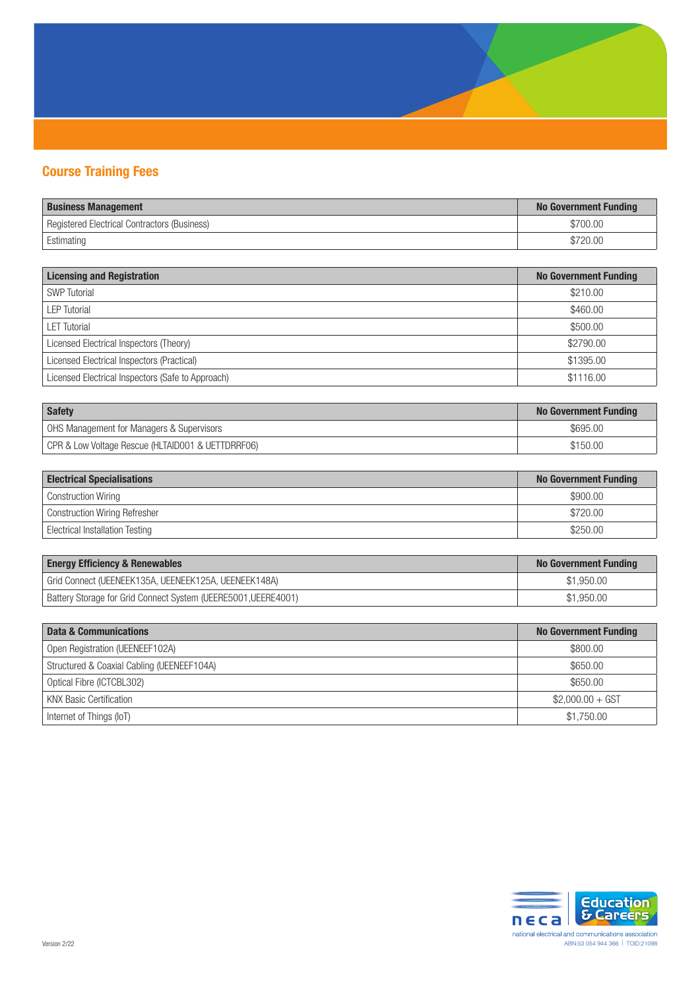

# Course Training Fees

| <b>Business Management</b>                   | <b>No Government Funding</b> |
|----------------------------------------------|------------------------------|
| Registered Electrical Contractors (Business) | \$700.00                     |
| Estimating                                   |                              |

| <b>Licensing and Registration</b>                 | <b>No Government Funding</b> |
|---------------------------------------------------|------------------------------|
| <b>SWP</b> Tutorial                               | \$210.00                     |
| <b>LEP Tutorial</b>                               | \$460.00                     |
| <b>LET Tutorial</b>                               | \$500.00                     |
| Licensed Electrical Inspectors (Theory)           | \$2790.00                    |
| Licensed Electrical Inspectors (Practical)        | \$1395.00                    |
| Licensed Electrical Inspectors (Safe to Approach) | \$1116.00                    |

| Safety                                            | <b>No Government Funding</b> |
|---------------------------------------------------|------------------------------|
| OHS Management for Managers & Supervisors         | \$695.00                     |
| CPR & Low Voltage Rescue (HLTAID001 & UETTDRRF06) | \$150.00                     |

| <b>Electrical Specialisations</b>    | <b>No Government Funding</b> |
|--------------------------------------|------------------------------|
| Construction Wiring                  | \$900.00                     |
| <b>Construction Wiring Refresher</b> | \$720.00                     |
| Electrical Installation Testing      | \$250.00                     |

| <b>Energy Efficiency &amp; Renewables</b>                      | No Government Funding |
|----------------------------------------------------------------|-----------------------|
| Grid Connect (UEENEEK135A, UEENEEK125A, UEENEEK148A)           | \$1,950.00            |
| Battery Storage for Grid Connect System (UEERE5001, UEERE4001) | \$1,950.00            |

| Data & Communications                      | <b>No Government Funding</b> |
|--------------------------------------------|------------------------------|
| Open Registration (UEENEEF102A)            | \$800.00                     |
| Structured & Coaxial Cabling (UEENEEF104A) | \$650.00                     |
| Optical Fibre (ICTCBL302)                  | \$650.00                     |
| <b>KNX Basic Certification</b>             | $$2,000.00 + GST$            |
| Internet of Things (IoT)                   | \$1,750.00                   |